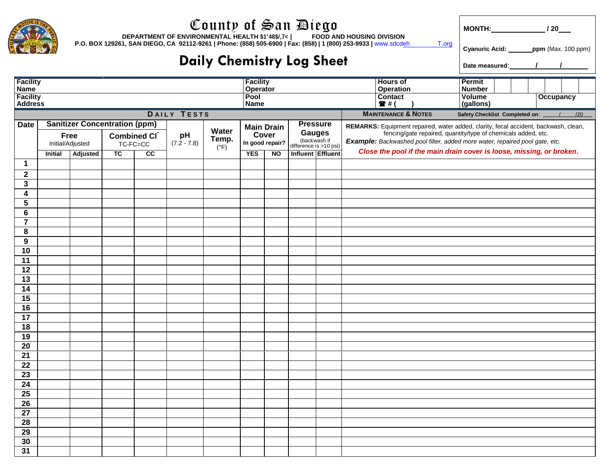|                                                       | County of San Diego<br>DEPARTMENT OF ENVIRONMENTAL HEALTH \$48\$74<br><b>FOOD AND HOUSING DIVISION</b><br>P.O. BOX 129261, SAN DIEGO, CA 92112-9261   Phone: (858) 505-6900   Fax: (858)   1 (800) 253-9933   www.sdcdeh<br>T.org |          |                                      |             |                     |                        |                          |           |                                                         |  |                                                                                                                                              |                                                                                     |                  |                                                                      |  |  |
|-------------------------------------------------------|-----------------------------------------------------------------------------------------------------------------------------------------------------------------------------------------------------------------------------------|----------|--------------------------------------|-------------|---------------------|------------------------|--------------------------|-----------|---------------------------------------------------------|--|----------------------------------------------------------------------------------------------------------------------------------------------|-------------------------------------------------------------------------------------|------------------|----------------------------------------------------------------------|--|--|
|                                                       |                                                                                                                                                                                                                                   |          |                                      |             |                     |                        |                          |           |                                                         |  |                                                                                                                                              |                                                                                     |                  | Cyanuric Acid: _______ppm (Max. 100 ppm)                             |  |  |
| <b>Daily Chemistry Log Sheet</b>                      |                                                                                                                                                                                                                                   |          |                                      |             |                     |                        |                          |           |                                                         |  |                                                                                                                                              |                                                                                     |                  |                                                                      |  |  |
| <b>Facility</b><br><b>Facility</b><br><b>Hours of</b> |                                                                                                                                                                                                                                   |          |                                      |             |                     |                        |                          |           |                                                         |  |                                                                                                                                              | Permit                                                                              |                  |                                                                      |  |  |
| <b>Name</b><br><b>Facility</b>                        |                                                                                                                                                                                                                                   |          |                                      |             |                     |                        | Operator<br>Pool         |           |                                                         |  |                                                                                                                                              | <b>Operation</b><br>Contact                                                         | Number<br>Volume | <b>Occupancy</b>                                                     |  |  |
| <b>Address</b>                                        |                                                                                                                                                                                                                                   |          |                                      |             |                     |                        | <b>Name</b>              |           |                                                         |  |                                                                                                                                              | $2$ # (                                                                             | (gallons)        |                                                                      |  |  |
|                                                       |                                                                                                                                                                                                                                   |          |                                      | DAILY TESTS |                     |                        |                          |           |                                                         |  | <b>MAINTENANCE &amp; NOTES</b>                                                                                                               | Safety Checklist Completed on: \[ /                                                 |                  | /20                                                                  |  |  |
| <b>Date</b>                                           |                                                                                                                                                                                                                                   |          | <b>Sanitizer Concentration (ppm)</b> |             |                     | Water                  | <b>Main Drain</b>        |           | <b>Pressure</b>                                         |  |                                                                                                                                              | REMARKS: Equipment repaired, water added, clarity, fecal accident, backwash, clean, |                  |                                                                      |  |  |
|                                                       | <b>Free</b><br>Initial/Adjusted                                                                                                                                                                                                   |          | Combined CI<br>TC-FC=CC              |             | pH<br>$(7.2 - 7.8)$ | Temp.<br>$(^{\circ}F)$ | Cover<br>In good repair? |           | <b>Gauges</b><br>(backwash if<br>difference is >10 psi) |  | fencing/gate repaired, quantity/type of chemicals added, etc.<br>Example: Backwashed pool filter, added more water, repaired pool gate, etc. |                                                                                     |                  |                                                                      |  |  |
|                                                       | <b>Initial</b>                                                                                                                                                                                                                    | Adjusted | <b>TC</b>                            | cc          |                     |                        | <b>YES</b>               | <b>NO</b> | Influent Effluent                                       |  |                                                                                                                                              |                                                                                     |                  | Close the pool if the main drain cover is loose, missing, or broken. |  |  |
| 1                                                     |                                                                                                                                                                                                                                   |          |                                      |             |                     |                        |                          |           |                                                         |  |                                                                                                                                              |                                                                                     |                  |                                                                      |  |  |
| $\mathbf 2$                                           |                                                                                                                                                                                                                                   |          |                                      |             |                     |                        |                          |           |                                                         |  |                                                                                                                                              |                                                                                     |                  |                                                                      |  |  |
| 3                                                     |                                                                                                                                                                                                                                   |          |                                      |             |                     |                        |                          |           |                                                         |  |                                                                                                                                              |                                                                                     |                  |                                                                      |  |  |
| 4                                                     |                                                                                                                                                                                                                                   |          |                                      |             |                     |                        |                          |           |                                                         |  |                                                                                                                                              |                                                                                     |                  |                                                                      |  |  |
| 5                                                     |                                                                                                                                                                                                                                   |          |                                      |             |                     |                        |                          |           |                                                         |  |                                                                                                                                              |                                                                                     |                  |                                                                      |  |  |
| 6<br>$\overline{7}$                                   |                                                                                                                                                                                                                                   |          |                                      |             |                     |                        |                          |           |                                                         |  |                                                                                                                                              |                                                                                     |                  |                                                                      |  |  |
| 8                                                     |                                                                                                                                                                                                                                   |          |                                      |             |                     |                        |                          |           |                                                         |  |                                                                                                                                              |                                                                                     |                  |                                                                      |  |  |
| 9                                                     |                                                                                                                                                                                                                                   |          |                                      |             |                     |                        |                          |           |                                                         |  |                                                                                                                                              |                                                                                     |                  |                                                                      |  |  |
| 10                                                    |                                                                                                                                                                                                                                   |          |                                      |             |                     |                        |                          |           |                                                         |  |                                                                                                                                              |                                                                                     |                  |                                                                      |  |  |
| 11                                                    |                                                                                                                                                                                                                                   |          |                                      |             |                     |                        |                          |           |                                                         |  |                                                                                                                                              |                                                                                     |                  |                                                                      |  |  |
| 12                                                    |                                                                                                                                                                                                                                   |          |                                      |             |                     |                        |                          |           |                                                         |  |                                                                                                                                              |                                                                                     |                  |                                                                      |  |  |
| 13                                                    |                                                                                                                                                                                                                                   |          |                                      |             |                     |                        |                          |           |                                                         |  |                                                                                                                                              |                                                                                     |                  |                                                                      |  |  |
| 14                                                    |                                                                                                                                                                                                                                   |          |                                      |             |                     |                        |                          |           |                                                         |  |                                                                                                                                              |                                                                                     |                  |                                                                      |  |  |
| 15                                                    |                                                                                                                                                                                                                                   |          |                                      |             |                     |                        |                          |           |                                                         |  |                                                                                                                                              |                                                                                     |                  |                                                                      |  |  |
| 16                                                    |                                                                                                                                                                                                                                   |          |                                      |             |                     |                        |                          |           |                                                         |  |                                                                                                                                              |                                                                                     |                  |                                                                      |  |  |
| 17<br>18                                              |                                                                                                                                                                                                                                   |          |                                      |             |                     |                        |                          |           |                                                         |  |                                                                                                                                              |                                                                                     |                  |                                                                      |  |  |
| 19                                                    |                                                                                                                                                                                                                                   |          |                                      |             |                     |                        |                          |           |                                                         |  |                                                                                                                                              |                                                                                     |                  |                                                                      |  |  |
| 20                                                    |                                                                                                                                                                                                                                   |          |                                      |             |                     |                        |                          |           |                                                         |  |                                                                                                                                              |                                                                                     |                  |                                                                      |  |  |
| 21                                                    |                                                                                                                                                                                                                                   |          |                                      |             |                     |                        |                          |           |                                                         |  |                                                                                                                                              |                                                                                     |                  |                                                                      |  |  |
| 22                                                    |                                                                                                                                                                                                                                   |          |                                      |             |                     |                        |                          |           |                                                         |  |                                                                                                                                              |                                                                                     |                  |                                                                      |  |  |
| 23                                                    |                                                                                                                                                                                                                                   |          |                                      |             |                     |                        |                          |           |                                                         |  |                                                                                                                                              |                                                                                     |                  |                                                                      |  |  |
| 24                                                    |                                                                                                                                                                                                                                   |          |                                      |             |                     |                        |                          |           |                                                         |  |                                                                                                                                              |                                                                                     |                  |                                                                      |  |  |
| 25                                                    |                                                                                                                                                                                                                                   |          |                                      |             |                     |                        |                          |           |                                                         |  |                                                                                                                                              |                                                                                     |                  |                                                                      |  |  |
| 26                                                    |                                                                                                                                                                                                                                   |          |                                      |             |                     |                        |                          |           |                                                         |  |                                                                                                                                              |                                                                                     |                  |                                                                      |  |  |
| 27                                                    |                                                                                                                                                                                                                                   |          |                                      |             |                     |                        |                          |           |                                                         |  |                                                                                                                                              |                                                                                     |                  |                                                                      |  |  |
| 28<br>29                                              |                                                                                                                                                                                                                                   |          |                                      |             |                     |                        |                          |           |                                                         |  |                                                                                                                                              |                                                                                     |                  |                                                                      |  |  |
| 30                                                    |                                                                                                                                                                                                                                   |          |                                      |             |                     |                        |                          |           |                                                         |  |                                                                                                                                              |                                                                                     |                  |                                                                      |  |  |
| 31                                                    |                                                                                                                                                                                                                                   |          |                                      |             |                     |                        |                          |           |                                                         |  |                                                                                                                                              |                                                                                     |                  |                                                                      |  |  |